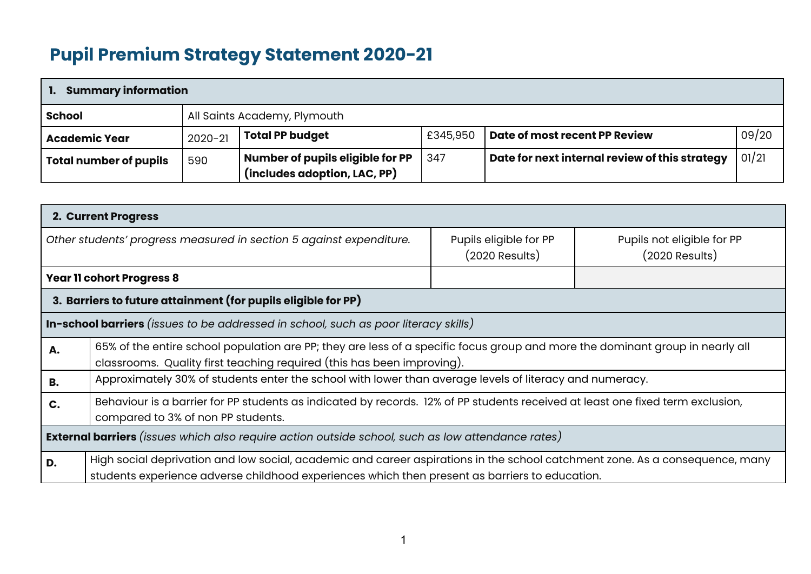## **Pupil Premium Strategy Statement 2020-21**

| <b>Summary information</b>    |                              |                                                                  |          |                                                |       |  |  |  |
|-------------------------------|------------------------------|------------------------------------------------------------------|----------|------------------------------------------------|-------|--|--|--|
| School                        | All Saints Academy, Plymouth |                                                                  |          |                                                |       |  |  |  |
| <b>Academic Year</b>          | $2020 - 21$                  | <b>Total PP budget</b>                                           | £345,950 | Date of most recent PP Review                  | 09/20 |  |  |  |
| <b>Total number of pupils</b> | 590                          | Number of pupils eligible for PP<br>(includes adoption, LAC, PP) | 347      | Date for next internal review of this strategy | 01/21 |  |  |  |

|                                                                                     | 2. Current Progress                                                                                                                                                                                                            |                                          |                                                |  |  |  |  |
|-------------------------------------------------------------------------------------|--------------------------------------------------------------------------------------------------------------------------------------------------------------------------------------------------------------------------------|------------------------------------------|------------------------------------------------|--|--|--|--|
|                                                                                     | Other students' progress measured in section 5 against expenditure.                                                                                                                                                            | Pupils eligible for PP<br>(2020 Results) | Pupils not eligible for PP<br>$(2020$ Results) |  |  |  |  |
| <b>Year 11 cohort Progress 8</b>                                                    |                                                                                                                                                                                                                                |                                          |                                                |  |  |  |  |
|                                                                                     | 3. Barriers to future attainment (for pupils eligible for PP)                                                                                                                                                                  |                                          |                                                |  |  |  |  |
| In-school barriers (issues to be addressed in school, such as poor literacy skills) |                                                                                                                                                                                                                                |                                          |                                                |  |  |  |  |
| А.                                                                                  | 65% of the entire school population are PP; they are less of a specific focus group and more the dominant group in nearly all<br>classrooms. Quality first teaching required (this has been improving).                        |                                          |                                                |  |  |  |  |
| <b>B.</b>                                                                           | Approximately 30% of students enter the school with lower than average levels of literacy and numeracy.                                                                                                                        |                                          |                                                |  |  |  |  |
| C.                                                                                  | Behaviour is a barrier for PP students as indicated by records. 12% of PP students received at least one fixed term exclusion,<br>compared to 3% of non PP students.                                                           |                                          |                                                |  |  |  |  |
|                                                                                     | <b>External barriers</b> (issues which also require action outside school, such as low attendance rates)                                                                                                                       |                                          |                                                |  |  |  |  |
| D.                                                                                  | High social deprivation and low social, academic and career aspirations in the school catchment zone. As a consequence, many<br>students experience adverse childhood experiences which then present as barriers to education. |                                          |                                                |  |  |  |  |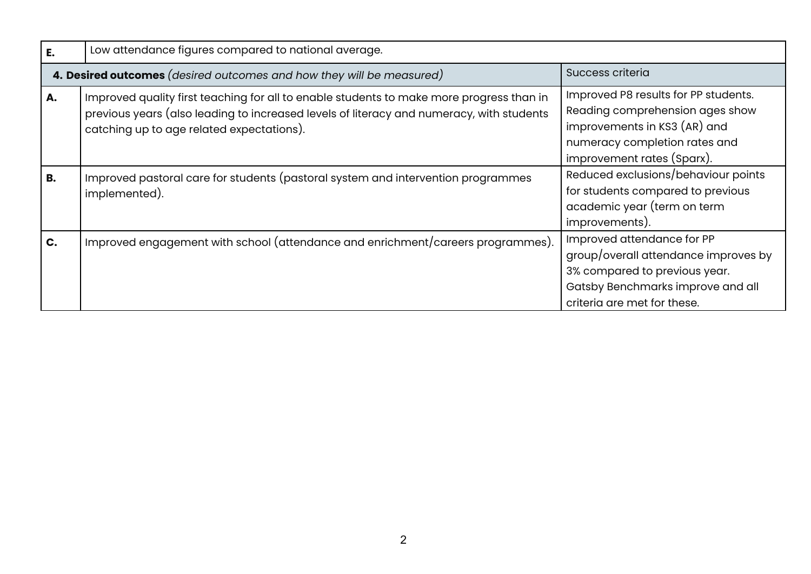| Ε.        | Low attendance figures compared to national average.                                                                                                                                                                              |                                                                                                                                                                         |  |  |  |  |  |
|-----------|-----------------------------------------------------------------------------------------------------------------------------------------------------------------------------------------------------------------------------------|-------------------------------------------------------------------------------------------------------------------------------------------------------------------------|--|--|--|--|--|
|           | 4. Desired outcomes (desired outcomes and how they will be measured)                                                                                                                                                              | Success criteria                                                                                                                                                        |  |  |  |  |  |
| А.        | Improved quality first teaching for all to enable students to make more progress than in<br>previous years (also leading to increased levels of literacy and numeracy, with students<br>catching up to age related expectations). | Improved P8 results for PP students.<br>Reading comprehension ages show<br>improvements in KS3 (AR) and<br>numeracy completion rates and<br>improvement rates (Sparx).  |  |  |  |  |  |
| <b>B.</b> | Improved pastoral care for students (pastoral system and intervention programmes<br>implemented).                                                                                                                                 | Reduced exclusions/behaviour points<br>for students compared to previous<br>academic year (term on term<br>improvements).                                               |  |  |  |  |  |
| C.        | Improved engagement with school (attendance and enrichment/careers programmes).                                                                                                                                                   | Improved attendance for PP<br>group/overall attendance improves by<br>3% compared to previous year.<br>Gatsby Benchmarks improve and all<br>criteria are met for these. |  |  |  |  |  |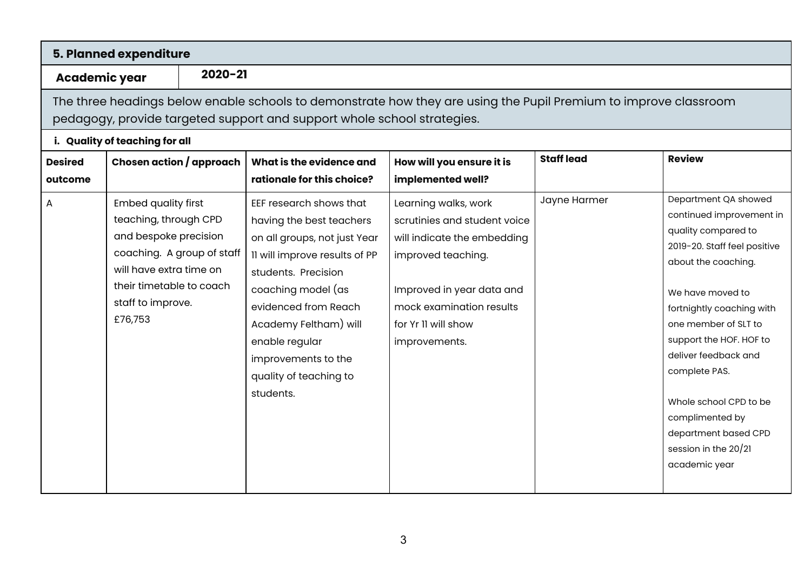|                           | 5. Planned expenditure                                                                                                                                                                            |             |                                                                                                                                                                                                                                                                                                    |                                                                                                                                                                                                            |                   |                                                                                                                                                                                                                                                                                                                                                                                           |  |
|---------------------------|---------------------------------------------------------------------------------------------------------------------------------------------------------------------------------------------------|-------------|----------------------------------------------------------------------------------------------------------------------------------------------------------------------------------------------------------------------------------------------------------------------------------------------------|------------------------------------------------------------------------------------------------------------------------------------------------------------------------------------------------------------|-------------------|-------------------------------------------------------------------------------------------------------------------------------------------------------------------------------------------------------------------------------------------------------------------------------------------------------------------------------------------------------------------------------------------|--|
| <b>Academic year</b>      |                                                                                                                                                                                                   | $2020 - 21$ |                                                                                                                                                                                                                                                                                                    |                                                                                                                                                                                                            |                   |                                                                                                                                                                                                                                                                                                                                                                                           |  |
|                           | The three headings below enable schools to demonstrate how they are using the Pupil Premium to improve classroom<br>pedagogy, provide targeted support and support whole school strategies.       |             |                                                                                                                                                                                                                                                                                                    |                                                                                                                                                                                                            |                   |                                                                                                                                                                                                                                                                                                                                                                                           |  |
| <b>Desired</b><br>outcome | i. Quality of teaching for all<br>Chosen action / approach                                                                                                                                        |             | What is the evidence and<br>rationale for this choice?                                                                                                                                                                                                                                             | How will you ensure it is<br>implemented well?                                                                                                                                                             | <b>Staff lead</b> | <b>Review</b>                                                                                                                                                                                                                                                                                                                                                                             |  |
| А                         | <b>Embed quality first</b><br>teaching, through CPD<br>and bespoke precision<br>coaching. A group of staff<br>will have extra time on<br>their timetable to coach<br>staff to improve.<br>£76,753 |             | EEF research shows that<br>having the best teachers<br>on all groups, not just Year<br>11 will improve results of PP<br>students. Precision<br>coaching model (as<br>evidenced from Reach<br>Academy Feltham) will<br>enable regular<br>improvements to the<br>quality of teaching to<br>students. | Learning walks, work<br>scrutinies and student voice<br>will indicate the embedding<br>improved teaching.<br>Improved in year data and<br>mock examination results<br>for Yr II will show<br>improvements. | Jayne Harmer      | Department QA showed<br>continued improvement in<br>quality compared to<br>2019-20. Staff feel positive<br>about the coaching.<br>We have moved to<br>fortnightly coaching with<br>one member of SLT to<br>support the HOF. HOF to<br>deliver feedback and<br>complete PAS.<br>Whole school CPD to be<br>complimented by<br>department based CPD<br>session in the 20/21<br>academic year |  |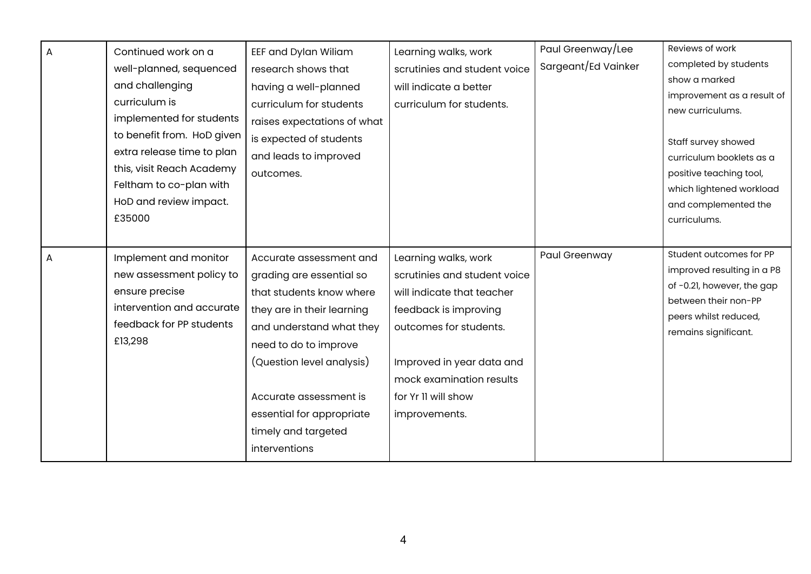| $\overline{A}$ | Continued work on a        | EEF and Dylan Wiliam        | Learning walks, work         | Paul Greenway/Lee   | Reviews of work                               |
|----------------|----------------------------|-----------------------------|------------------------------|---------------------|-----------------------------------------------|
|                | well-planned, sequenced    | research shows that         | scrutinies and student voice | Sargeant/Ed Vainker | completed by students                         |
|                | and challenging            | having a well-planned       | will indicate a better       |                     | show a marked                                 |
|                | curriculum is              | curriculum for students     | curriculum for students.     |                     | improvement as a result of                    |
|                | implemented for students   |                             |                              |                     | new curriculums.                              |
|                | to benefit from. HoD given | raises expectations of what |                              |                     |                                               |
|                |                            | is expected of students     |                              |                     | Staff survey showed                           |
|                | extra release time to plan | and leads to improved       |                              |                     | curriculum booklets as a                      |
|                | this, visit Reach Academy  | outcomes.                   |                              |                     | positive teaching tool,                       |
|                | Feltham to co-plan with    |                             |                              |                     | which lightened workload                      |
|                | HoD and review impact.     |                             |                              |                     | and complemented the                          |
|                | £35000                     |                             |                              |                     | curriculums.                                  |
|                |                            |                             |                              |                     |                                               |
| A              | Implement and monitor      | Accurate assessment and     | Learning walks, work         | Paul Greenway       | Student outcomes for PP                       |
|                | new assessment policy to   | grading are essential so    | scrutinies and student voice |                     | improved resulting in a P8                    |
|                | ensure precise             | that students know where    | will indicate that teacher   |                     | of -0.21, however, the gap                    |
|                | intervention and accurate  | they are in their learning  | feedback is improving        |                     | between their non-PP                          |
|                | feedback for PP students   | and understand what they    | outcomes for students.       |                     | peers whilst reduced,<br>remains significant. |
|                | £13,298                    | need to do to improve       |                              |                     |                                               |
|                |                            | (Question level analysis)   | Improved in year data and    |                     |                                               |
|                |                            |                             | mock examination results     |                     |                                               |
|                |                            | Accurate assessment is      | for Yr II will show          |                     |                                               |
|                |                            | essential for appropriate   | improvements.                |                     |                                               |
|                |                            | timely and targeted         |                              |                     |                                               |
|                |                            |                             |                              |                     |                                               |
|                |                            | interventions               |                              |                     |                                               |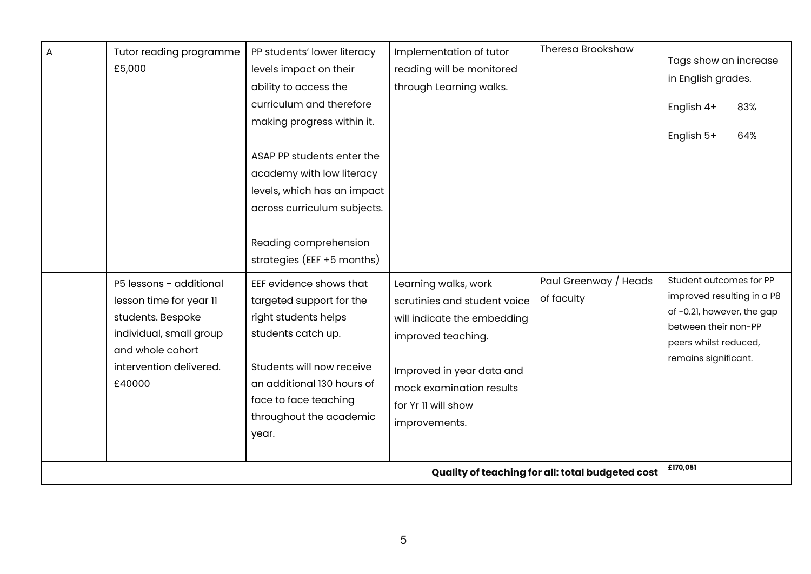|   | £170,051<br>Quality of teaching for all: total budgeted cost                                                                                                |                                                                                                                                                                                                                                                                                           |                                                                                                                                                                                                            |                                     |                                                                                                                                                              |  |
|---|-------------------------------------------------------------------------------------------------------------------------------------------------------------|-------------------------------------------------------------------------------------------------------------------------------------------------------------------------------------------------------------------------------------------------------------------------------------------|------------------------------------------------------------------------------------------------------------------------------------------------------------------------------------------------------------|-------------------------------------|--------------------------------------------------------------------------------------------------------------------------------------------------------------|--|
|   | P5 lessons - additional<br>lesson time for year 11<br>students. Bespoke<br>individual, small group<br>and whole cohort<br>intervention delivered.<br>£40000 | EEF evidence shows that<br>targeted support for the<br>right students helps<br>students catch up.<br>Students will now receive<br>an additional 130 hours of<br>face to face teaching<br>throughout the academic<br>year.                                                                 | Learning walks, work<br>scrutinies and student voice<br>will indicate the embedding<br>improved teaching.<br>Improved in year data and<br>mock examination results<br>for Yr II will show<br>improvements. | Paul Greenway / Heads<br>of faculty | Student outcomes for PP<br>improved resulting in a P8<br>of -0.21, however, the gap<br>between their non-PP<br>peers whilst reduced,<br>remains significant. |  |
| А | Tutor reading programme<br>£5,000                                                                                                                           | levels impact on their<br>ability to access the<br>curriculum and therefore<br>making progress within it.<br>ASAP PP students enter the<br>academy with low literacy<br>levels, which has an impact<br>across curriculum subjects.<br>Reading comprehension<br>strategies (EEF +5 months) | reading will be monitored<br>through Learning walks.                                                                                                                                                       |                                     | Tags show an increase<br>in English grades.<br>English 4+<br>83%<br>English 5+<br>64%                                                                        |  |
|   |                                                                                                                                                             | PP students' lower literacy                                                                                                                                                                                                                                                               | Implementation of tutor                                                                                                                                                                                    | <b>Theresa Brookshaw</b>            |                                                                                                                                                              |  |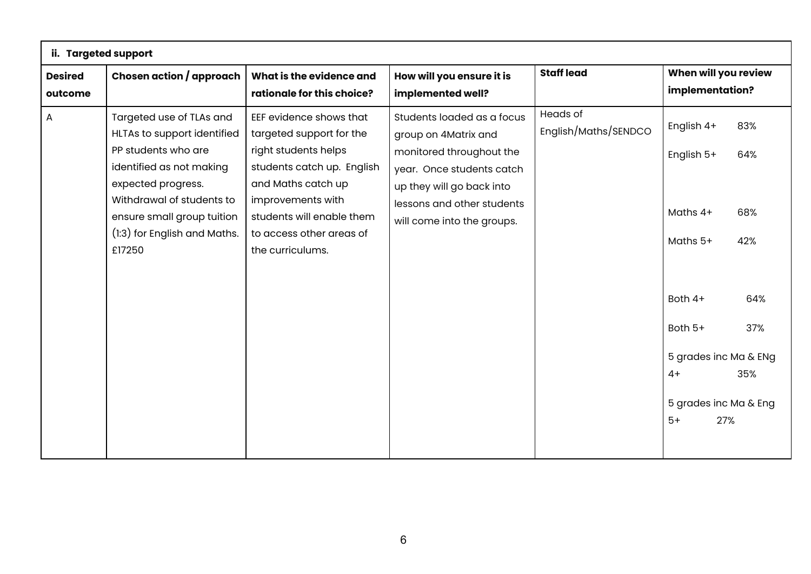| ii. Targeted support      |                                                                                                                                                                                                                                       |                                                                                                                                                                                                                                   |                                                                                                                                                                                                      |                                         |                                                                                                                                                 |                                               |
|---------------------------|---------------------------------------------------------------------------------------------------------------------------------------------------------------------------------------------------------------------------------------|-----------------------------------------------------------------------------------------------------------------------------------------------------------------------------------------------------------------------------------|------------------------------------------------------------------------------------------------------------------------------------------------------------------------------------------------------|-----------------------------------------|-------------------------------------------------------------------------------------------------------------------------------------------------|-----------------------------------------------|
| <b>Desired</b><br>outcome | Chosen action / approach                                                                                                                                                                                                              | What is the evidence and<br>rationale for this choice?                                                                                                                                                                            | How will you ensure it is<br>implemented well?                                                                                                                                                       | <b>Staff lead</b>                       | When will you review<br>implementation?                                                                                                         |                                               |
| A                         | Targeted use of TLAs and<br>HLTAs to support identified<br>PP students who are<br>identified as not making<br>expected progress.<br>Withdrawal of students to<br>ensure small group tuition<br>(1:3) for English and Maths.<br>£17250 | EEF evidence shows that<br>targeted support for the<br>right students helps<br>students catch up. English<br>and Maths catch up<br>improvements with<br>students will enable them<br>to access other areas of<br>the curriculums. | Students loaded as a focus<br>group on 4Matrix and<br>monitored throughout the<br>year. Once students catch<br>up they will go back into<br>lessons and other students<br>will come into the groups. | <b>Heads of</b><br>English/Maths/SENDCO | English 4+<br>English 5+<br>Maths 4+<br>Maths 5+<br>Both 4+<br>Both 5+<br>5 grades inc Ma & ENg<br>$4+$<br>5 grades inc Ma & Eng<br>$5+$<br>27% | 83%<br>64%<br>68%<br>42%<br>64%<br>37%<br>35% |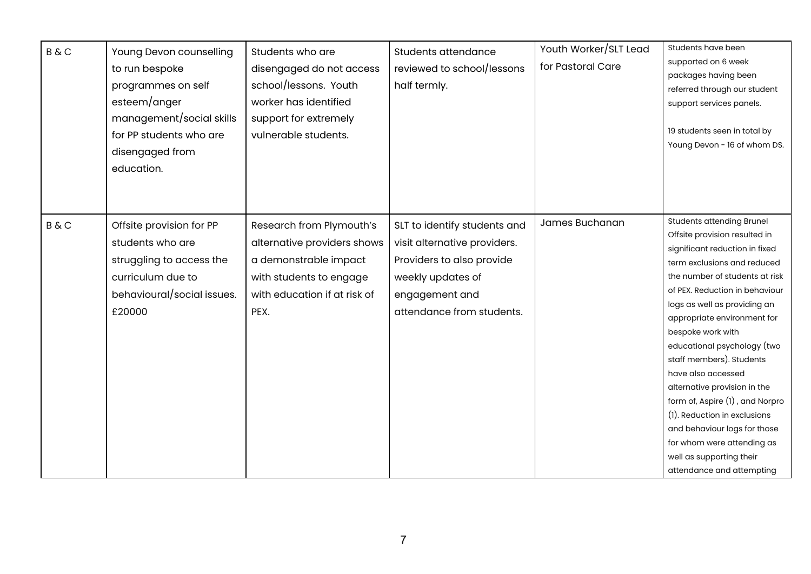| <b>B&amp;C</b> | Young Devon counselling<br>to run bespoke<br>programmes on self<br>esteem/anger<br>management/social skills<br>for PP students who are<br>disengaged from<br>education. | Students who are<br>disengaged do not access<br>school/lessons. Youth<br>worker has identified<br>support for extremely<br>vulnerable students.     | Students attendance<br>reviewed to school/lessons<br>half termly.                                                                                             | Youth Worker/SLT Lead<br>for Pastoral Care | Students have been<br>supported on 6 week<br>packages having been<br>referred through our student<br>support services panels.<br>19 students seen in total by<br>Young Devon - 16 of whom DS.                                                                                                                                                                                                                                                                                                                                                                                                         |
|----------------|-------------------------------------------------------------------------------------------------------------------------------------------------------------------------|-----------------------------------------------------------------------------------------------------------------------------------------------------|---------------------------------------------------------------------------------------------------------------------------------------------------------------|--------------------------------------------|-------------------------------------------------------------------------------------------------------------------------------------------------------------------------------------------------------------------------------------------------------------------------------------------------------------------------------------------------------------------------------------------------------------------------------------------------------------------------------------------------------------------------------------------------------------------------------------------------------|
| <b>B&amp;C</b> | Offsite provision for PP<br>students who are<br>struggling to access the<br>curriculum due to<br>behavioural/social issues.<br>£20000                                   | Research from Plymouth's<br>alternative providers shows<br>a demonstrable impact<br>with students to engage<br>with education if at risk of<br>PEX. | SLT to identify students and<br>visit alternative providers.<br>Providers to also provide<br>weekly updates of<br>engagement and<br>attendance from students. | James Buchanan                             | <b>Students attending Brunel</b><br>Offsite provision resulted in<br>significant reduction in fixed<br>term exclusions and reduced<br>the number of students at risk<br>of PEX. Reduction in behaviour<br>logs as well as providing an<br>appropriate environment for<br>bespoke work with<br>educational psychology (two<br>staff members). Students<br>have also accessed<br>alternative provision in the<br>form of, Aspire (1), and Norpro<br>(1). Reduction in exclusions<br>and behaviour logs for those<br>for whom were attending as<br>well as supporting their<br>attendance and attempting |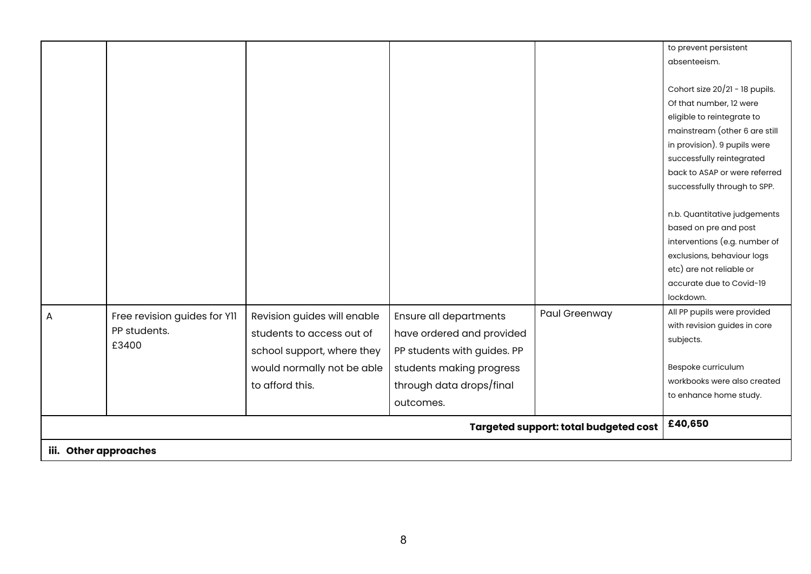|   |                                              |                             |                             |               | to prevent persistent                                 |  |
|---|----------------------------------------------|-----------------------------|-----------------------------|---------------|-------------------------------------------------------|--|
|   |                                              |                             |                             |               | absenteeism.                                          |  |
|   |                                              |                             |                             |               |                                                       |  |
|   |                                              |                             |                             |               | Cohort size 20/21 - 18 pupils.                        |  |
|   |                                              |                             |                             |               | Of that number, 12 were                               |  |
|   |                                              |                             |                             |               | eligible to reintegrate to                            |  |
|   |                                              |                             |                             |               | mainstream (other 6 are still                         |  |
|   |                                              |                             |                             |               | in provision). 9 pupils were                          |  |
|   |                                              |                             |                             |               | successfully reintegrated                             |  |
|   |                                              |                             |                             |               | back to ASAP or were referred                         |  |
|   |                                              |                             |                             |               | successfully through to SPP.                          |  |
|   |                                              |                             |                             |               |                                                       |  |
|   |                                              |                             |                             |               | n.b. Quantitative judgements<br>based on pre and post |  |
|   |                                              |                             |                             |               | interventions (e.g. number of                         |  |
|   |                                              |                             |                             |               | exclusions, behaviour logs                            |  |
|   |                                              |                             |                             |               | etc) are not reliable or                              |  |
|   |                                              |                             |                             |               | accurate due to Covid-19                              |  |
|   |                                              |                             |                             |               | lockdown.                                             |  |
|   |                                              |                             |                             | Paul Greenway | All PP pupils were provided                           |  |
| A | Free revision guides for YII                 | Revision guides will enable | Ensure all departments      |               | with revision guides in core                          |  |
|   | PP students.                                 | students to access out of   | have ordered and provided   |               | subjects.                                             |  |
|   | £3400                                        | school support, where they  | PP students with guides. PP |               |                                                       |  |
|   |                                              | would normally not be able  | students making progress    |               | Bespoke curriculum                                    |  |
|   |                                              | to afford this.             | through data drops/final    |               | workbooks were also created                           |  |
|   |                                              |                             |                             |               | to enhance home study.                                |  |
|   |                                              |                             | outcomes.                   |               | £40,650                                               |  |
|   | <b>Targeted support: total budgeted cost</b> |                             |                             |               |                                                       |  |
|   | iii. Other approaches                        |                             |                             |               |                                                       |  |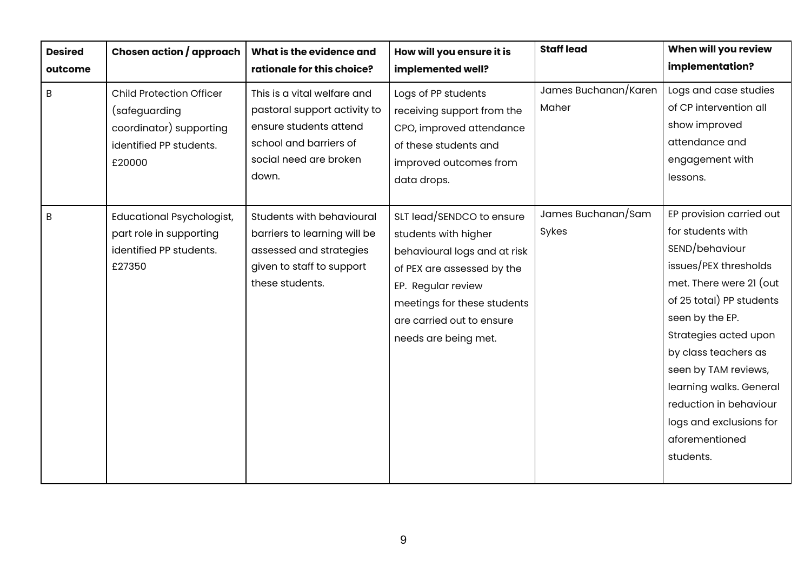| <b>Desired</b> | Chosen action / approach                                                                                         | What is the evidence and                                                                                                                           | How will you ensure it is                                                                                                                                                                                                 | <b>Staff lead</b>             | When will you review                                                                                                                                                                                                                                                                                                                                       |
|----------------|------------------------------------------------------------------------------------------------------------------|----------------------------------------------------------------------------------------------------------------------------------------------------|---------------------------------------------------------------------------------------------------------------------------------------------------------------------------------------------------------------------------|-------------------------------|------------------------------------------------------------------------------------------------------------------------------------------------------------------------------------------------------------------------------------------------------------------------------------------------------------------------------------------------------------|
| outcome        |                                                                                                                  | rationale for this choice?                                                                                                                         | implemented well?                                                                                                                                                                                                         |                               | implementation?                                                                                                                                                                                                                                                                                                                                            |
| B              | <b>Child Protection Officer</b><br>(safeguarding<br>coordinator) supporting<br>identified PP students.<br>£20000 | This is a vital welfare and<br>pastoral support activity to<br>ensure students attend<br>school and barriers of<br>social need are broken<br>down. | Logs of PP students<br>receiving support from the<br>CPO, improved attendance<br>of these students and<br>improved outcomes from<br>data drops.                                                                           | James Buchanan/Karen<br>Maher | Logs and case studies<br>of CP intervention all<br>show improved<br>attendance and<br>engagement with<br>lessons.                                                                                                                                                                                                                                          |
| B              | <b>Educational Psychologist,</b><br>part role in supporting<br>identified PP students.<br>£27350                 | Students with behavioural<br>barriers to learning will be<br>assessed and strategies<br>given to staff to support<br>these students.               | SLT lead/SENDCO to ensure<br>students with higher<br>behavioural logs and at risk<br>of PEX are assessed by the<br>EP. Regular review<br>meetings for these students<br>are carried out to ensure<br>needs are being met. | James Buchanan/Sam<br>Sykes   | EP provision carried out<br>for students with<br>SEND/behaviour<br>issues/PEX thresholds<br>met. There were 21 (out<br>of 25 total) PP students<br>seen by the EP.<br>Strategies acted upon<br>by class teachers as<br>seen by TAM reviews,<br>learning walks. General<br>reduction in behaviour<br>logs and exclusions for<br>aforementioned<br>students. |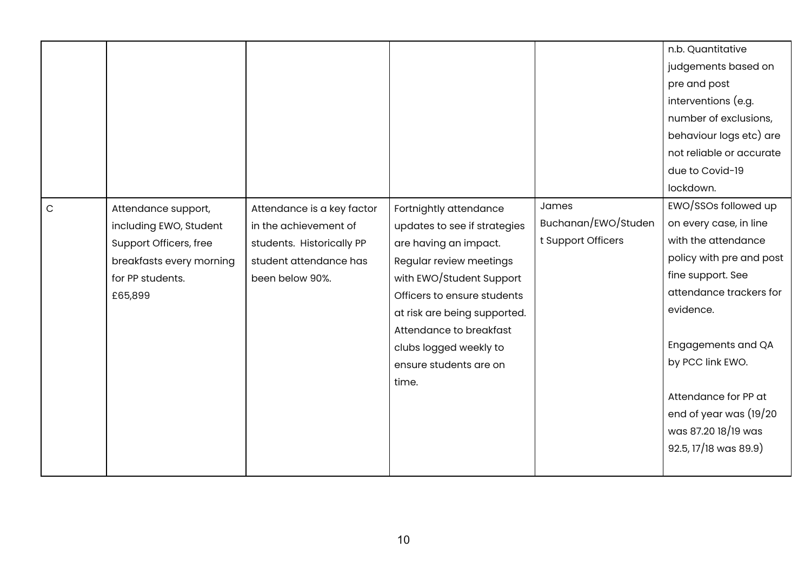|              |                          |                            |                              |                     | n.b. Quantitative         |
|--------------|--------------------------|----------------------------|------------------------------|---------------------|---------------------------|
|              |                          |                            |                              |                     | judgements based on       |
|              |                          |                            |                              |                     | pre and post              |
|              |                          |                            |                              |                     | interventions (e.g.       |
|              |                          |                            |                              |                     | number of exclusions,     |
|              |                          |                            |                              |                     | behaviour logs etc) are   |
|              |                          |                            |                              |                     | not reliable or accurate  |
|              |                          |                            |                              |                     | due to Covid-19           |
|              |                          |                            |                              |                     | lockdown.                 |
| $\mathsf{C}$ | Attendance support,      | Attendance is a key factor | Fortnightly attendance       | James               | EWO/SSOs followed up      |
|              | including EWO, Student   | in the achievement of      | updates to see if strategies | Buchanan/EWO/Studen | on every case, in line    |
|              | Support Officers, free   | students. Historically PP  | are having an impact.        | t Support Officers  | with the attendance       |
|              | breakfasts every morning | student attendance has     | Regular review meetings      |                     | policy with pre and post  |
|              | for PP students.         | been below 90%.            | with EWO/Student Support     |                     | fine support. See         |
|              | £65,899                  |                            | Officers to ensure students  |                     | attendance trackers for   |
|              |                          |                            | at risk are being supported. |                     | evidence.                 |
|              |                          |                            | Attendance to breakfast      |                     |                           |
|              |                          |                            | clubs logged weekly to       |                     | <b>Engagements and QA</b> |
|              |                          |                            | ensure students are on       |                     | by PCC link EWO.          |
|              |                          |                            | time.                        |                     |                           |
|              |                          |                            |                              |                     | Attendance for PP at      |
|              |                          |                            |                              |                     | end of year was (19/20    |
|              |                          |                            |                              |                     | was 87.20 18/19 was       |
|              |                          |                            |                              |                     | 92.5, 17/18 was 89.9)     |
|              |                          |                            |                              |                     |                           |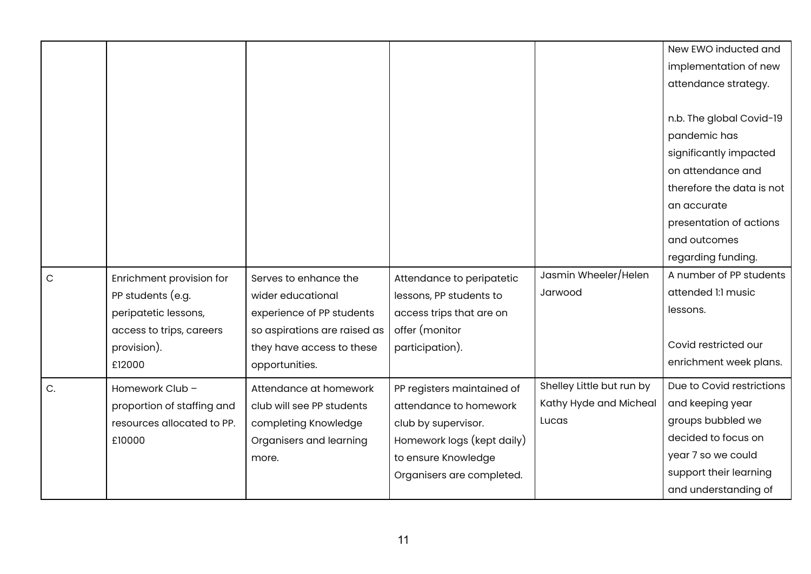|    |                            |                              |                            |                           | New EWO inducted and      |
|----|----------------------------|------------------------------|----------------------------|---------------------------|---------------------------|
|    |                            |                              |                            |                           | implementation of new     |
|    |                            |                              |                            |                           | attendance strategy.      |
|    |                            |                              |                            |                           |                           |
|    |                            |                              |                            |                           | n.b. The global Covid-19  |
|    |                            |                              |                            |                           | pandemic has              |
|    |                            |                              |                            |                           | significantly impacted    |
|    |                            |                              |                            |                           | on attendance and         |
|    |                            |                              |                            |                           | therefore the data is not |
|    |                            |                              |                            |                           | an accurate               |
|    |                            |                              |                            |                           | presentation of actions   |
|    |                            |                              |                            |                           | and outcomes              |
|    |                            |                              |                            |                           | regarding funding.        |
| C  | Enrichment provision for   | Serves to enhance the        | Attendance to peripatetic  | Jasmin Wheeler/Helen      | A number of PP students   |
|    | PP students (e.g.          | wider educational            | lessons, PP students to    | Jarwood                   | attended 1:1 music        |
|    | peripatetic lessons,       | experience of PP students    | access trips that are on   |                           | lessons.                  |
|    | access to trips, careers   | so aspirations are raised as | offer (monitor             |                           |                           |
|    | provision).                | they have access to these    | participation).            |                           | Covid restricted our      |
|    | £12000                     | opportunities.               |                            |                           | enrichment week plans.    |
| C. | Homework Club -            | Attendance at homework       | PP registers maintained of | Shelley Little but run by | Due to Covid restrictions |
|    | proportion of staffing and | club will see PP students    | attendance to homework     | Kathy Hyde and Micheal    | and keeping year          |
|    | resources allocated to PP. | completing Knowledge         | club by supervisor.        | Lucas                     | groups bubbled we         |
|    | £10000                     | Organisers and learning      | Homework logs (kept daily) |                           | decided to focus on       |
|    |                            | more.                        | to ensure Knowledge        |                           | year 7 so we could        |
|    |                            |                              | Organisers are completed.  |                           | support their learning    |
|    |                            |                              |                            |                           | and understanding of      |